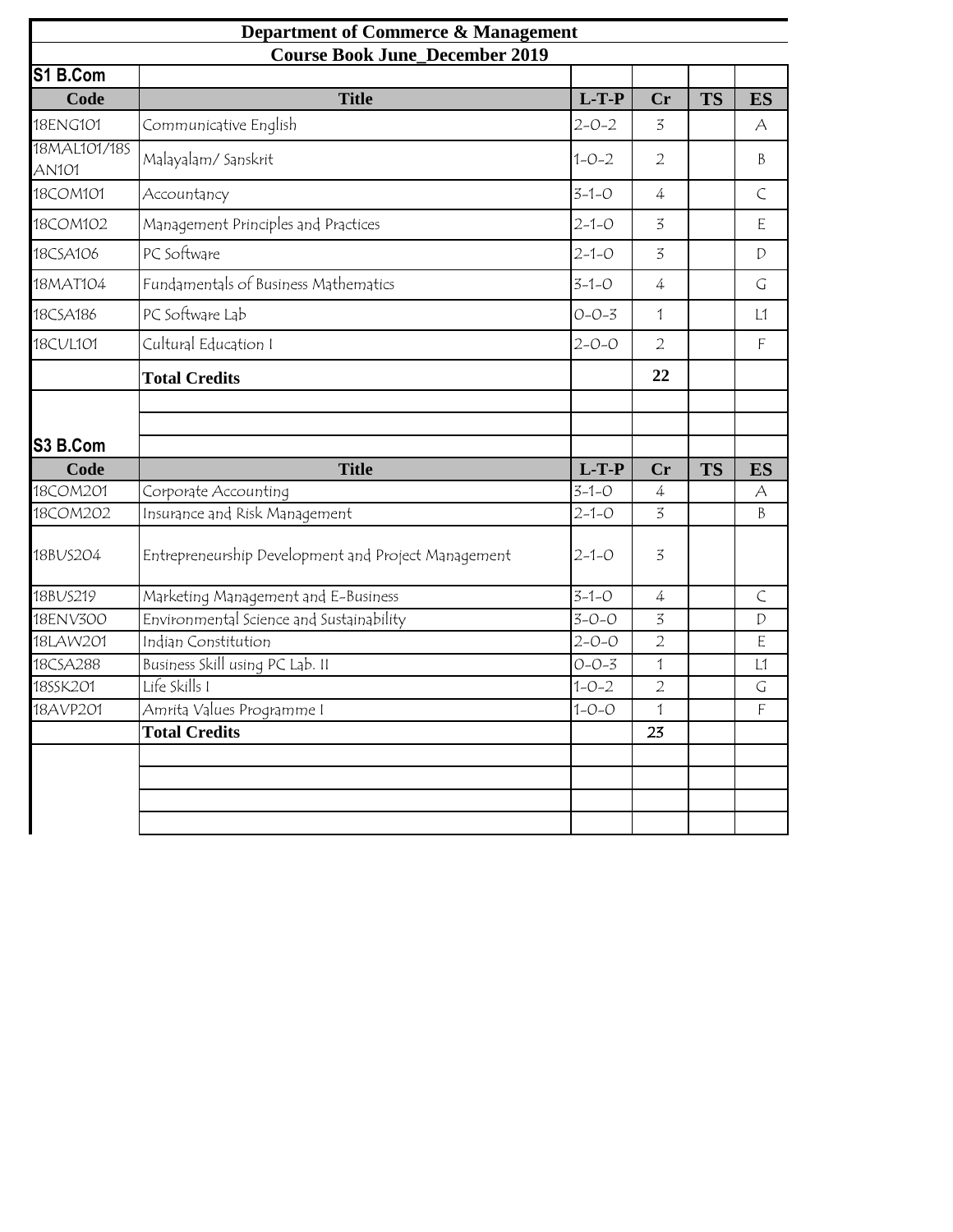| <b>Department of Commerce &amp; Management</b><br><b>Course Book June_December 2019</b> |                                                     |             |                |           |               |  |  |  |  |  |
|-----------------------------------------------------------------------------------------|-----------------------------------------------------|-------------|----------------|-----------|---------------|--|--|--|--|--|
|                                                                                         |                                                     |             |                |           |               |  |  |  |  |  |
| Code                                                                                    | <b>Title</b>                                        | $L-T-P$     | Cr             | <b>TS</b> | <b>ES</b>     |  |  |  |  |  |
| 18ENG101                                                                                | Communicative English                               | $2 - 0 - 2$ | 3              |           | А             |  |  |  |  |  |
| 18MAL101/18S<br><b>AN101</b>                                                            | Malayalam/Sanskrit                                  | $1 - 0 - 2$ | $\overline{2}$ |           | B             |  |  |  |  |  |
| 18COM101                                                                                | Accountancy                                         | $3 - 1 - 0$ | 4              |           | $\subset$     |  |  |  |  |  |
| 18COM102                                                                                | Management Principles and Practices                 | $2 - 1 - 0$ | 3              |           | E             |  |  |  |  |  |
| 18CSA106                                                                                | PC Software                                         | $2 - 1 - 0$ | 3              |           | $\mathcal{D}$ |  |  |  |  |  |
| 18MAT104                                                                                | Fundamentals of Business Mathematics                | $3 - 1 - 0$ | 4              |           | G             |  |  |  |  |  |
| 18CSA186                                                                                | PC Software Lab                                     | $O - O - 3$ | 1              |           | L1            |  |  |  |  |  |
| 18CUL101                                                                                | Cultural Education I                                | $2 - 0 - 0$ | $\overline{2}$ |           | F             |  |  |  |  |  |
|                                                                                         | <b>Total Credits</b>                                |             | 22             |           |               |  |  |  |  |  |
|                                                                                         |                                                     |             |                |           |               |  |  |  |  |  |
|                                                                                         |                                                     |             |                |           |               |  |  |  |  |  |
| S3 B.Com                                                                                |                                                     |             |                |           |               |  |  |  |  |  |
| Code                                                                                    | <b>Title</b>                                        | $L-T-P$     | Cr             | <b>TS</b> | <b>ES</b>     |  |  |  |  |  |
| 18COM201                                                                                | Corporate Accounting                                | $3 - 1 - 0$ | 4              |           | А             |  |  |  |  |  |
| 18COM202                                                                                | Insurance and Risk Management                       | $2 - 1 - 0$ | 3              |           | B             |  |  |  |  |  |
| 18BUS204                                                                                | Entrepreneurship Development and Project Management | $2 - 1 - 0$ | 3              |           |               |  |  |  |  |  |
| 18BUS219                                                                                | Marketing Management and E-Business                 | $3 - 1 - 0$ | 4              |           | $\subset$     |  |  |  |  |  |
| 18ENV300                                                                                | Environmental Science and Sustainability            | $3 - 0 - 0$ | 3              |           | D             |  |  |  |  |  |
| 18LAW201                                                                                | Indian Constitution                                 | $2 - 0 - 0$ | $\overline{2}$ |           | E             |  |  |  |  |  |
| 18CSA288                                                                                | Business Skill using PC Lab. II                     | $O - O - 3$ | $\mathbf{1}$   |           | L1            |  |  |  |  |  |
| 18SSK201                                                                                | Life Skills I                                       | $1 - 0 - 2$ | $\overline{2}$ |           | $\mathsf G$   |  |  |  |  |  |
| 18AVP201                                                                                | Amrita Values Programme I                           | $1 - 0 - 0$ | 1              |           | $\mathsf F$   |  |  |  |  |  |
|                                                                                         | <b>Total Credits</b>                                |             | 23             |           |               |  |  |  |  |  |
|                                                                                         |                                                     |             |                |           |               |  |  |  |  |  |
|                                                                                         |                                                     |             |                |           |               |  |  |  |  |  |
|                                                                                         |                                                     |             |                |           |               |  |  |  |  |  |
|                                                                                         |                                                     |             |                |           |               |  |  |  |  |  |